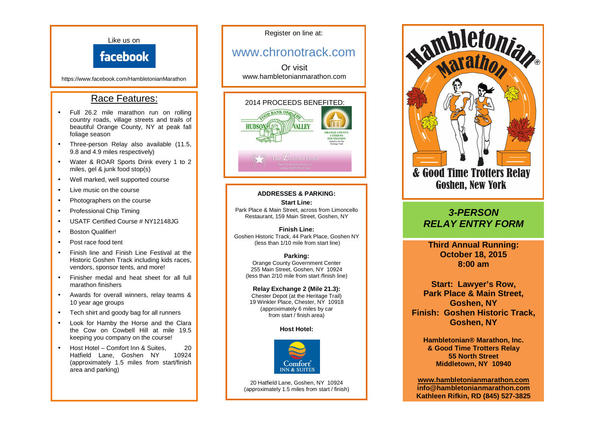

Register on line at:

# www.chronotrack.com

Or visit www.hambletonianmarathon.com



## **ADDRESSES & PARKING:**

**Start Line:**  Park Place & Main Street, across from Limoncello Restaurant, 159 Main Street, Goshen, NY

**Finish Line:**  Goshen Historic Track, 44 Park Place, Goshen NY (less than 1/10 mile from start line)

> **Parking:**  Orange County Government Center 255 Main Street, Goshen, NY 10924 (less than 2/10 mile from start /finish line)

**Relay Exchange 2 (Mile 21.3):**  Chester Depot (at the Heritage Trail) 19 Winkler Place, Chester, NY 10918 (approximately 6 miles by car from start / finish area)

**Host Hotel:** 



20 Hatfield Lane, Goshen, NY 10924 (approximately 1.5 miles from start / finish)



# **3-PERSON RELAY ENTRY FORM**

**Third Annual Running: October 18, 2015 8:00 am** 

**Start: Lawyer's Row, Park Place & Main Street, Goshen, NY Finish: Goshen Historic Track, Goshen, NY** 

**Hambletonian® Marathon, Inc. & Good Time Trotters Relay 55 North Street Middletown, NY 10940** 

**www.hambletonianmarathon.com info@hambletonianmarathon.com Kathleen Rifkin, RD (845) 527-3825**